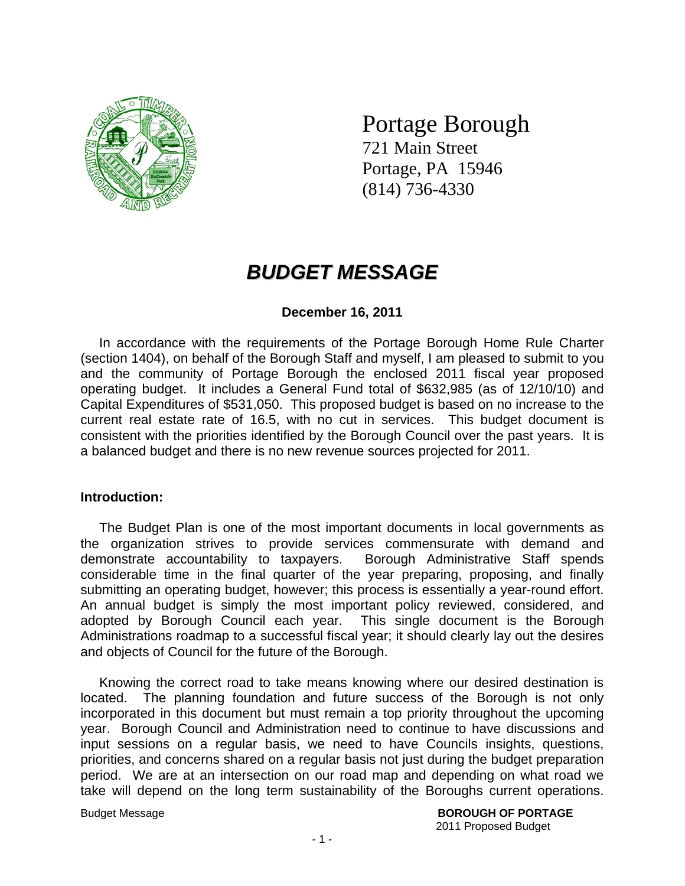

# Portage Borough

721 Main Street Portage, PA 15946 (814) 736-4330

## *BUDGET MESSAGE*

### **December 16, 2011**

 In accordance with the requirements of the Portage Borough Home Rule Charter (section 1404), on behalf of the Borough Staff and myself, I am pleased to submit to you and the community of Portage Borough the enclosed 2011 fiscal year proposed operating budget. It includes a General Fund total of \$632,985 (as of 12/10/10) and Capital Expenditures of \$531,050. This proposed budget is based on no increase to the current real estate rate of 16.5, with no cut in services. This budget document is consistent with the priorities identified by the Borough Council over the past years. It is a balanced budget and there is no new revenue sources projected for 2011.

#### **Introduction:**

 The Budget Plan is one of the most important documents in local governments as the organization strives to provide services commensurate with demand and demonstrate accountability to taxpayers. Borough Administrative Staff spends considerable time in the final quarter of the year preparing, proposing, and finally submitting an operating budget, however; this process is essentially a year-round effort. An annual budget is simply the most important policy reviewed, considered, and adopted by Borough Council each year. This single document is the Borough Administrations roadmap to a successful fiscal year; it should clearly lay out the desires and objects of Council for the future of the Borough.

 Knowing the correct road to take means knowing where our desired destination is located. The planning foundation and future success of the Borough is not only incorporated in this document but must remain a top priority throughout the upcoming year. Borough Council and Administration need to continue to have discussions and input sessions on a regular basis, we need to have Councils insights, questions, priorities, and concerns shared on a regular basis not just during the budget preparation period. We are at an intersection on our road map and depending on what road we take will depend on the long term sustainability of the Boroughs current operations.

Budget Message **BOROUGH OF PORTAGE** 2011 Proposed Budget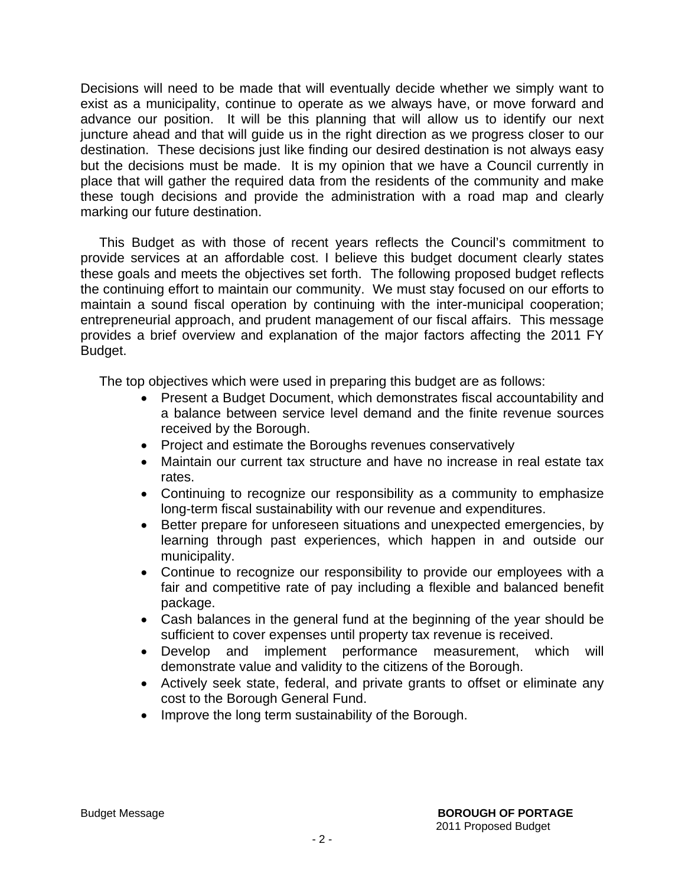Decisions will need to be made that will eventually decide whether we simply want to exist as a municipality, continue to operate as we always have, or move forward and advance our position. It will be this planning that will allow us to identify our next juncture ahead and that will guide us in the right direction as we progress closer to our destination. These decisions just like finding our desired destination is not always easy but the decisions must be made. It is my opinion that we have a Council currently in place that will gather the required data from the residents of the community and make these tough decisions and provide the administration with a road map and clearly marking our future destination.

 This Budget as with those of recent years reflects the Council's commitment to provide services at an affordable cost. I believe this budget document clearly states these goals and meets the objectives set forth. The following proposed budget reflects the continuing effort to maintain our community. We must stay focused on our efforts to maintain a sound fiscal operation by continuing with the inter-municipal cooperation; entrepreneurial approach, and prudent management of our fiscal affairs. This message provides a brief overview and explanation of the major factors affecting the 2011 FY Budget.

The top objectives which were used in preparing this budget are as follows:

- Present a Budget Document, which demonstrates fiscal accountability and a balance between service level demand and the finite revenue sources received by the Borough.
- Project and estimate the Boroughs revenues conservatively
- Maintain our current tax structure and have no increase in real estate tax rates.
- Continuing to recognize our responsibility as a community to emphasize long-term fiscal sustainability with our revenue and expenditures.
- Better prepare for unforeseen situations and unexpected emergencies, by learning through past experiences, which happen in and outside our municipality.
- Continue to recognize our responsibility to provide our employees with a fair and competitive rate of pay including a flexible and balanced benefit package.
- Cash balances in the general fund at the beginning of the year should be sufficient to cover expenses until property tax revenue is received.
- Develop and implement performance measurement, which will demonstrate value and validity to the citizens of the Borough.
- Actively seek state, federal, and private grants to offset or eliminate any cost to the Borough General Fund.
- Improve the long term sustainability of the Borough.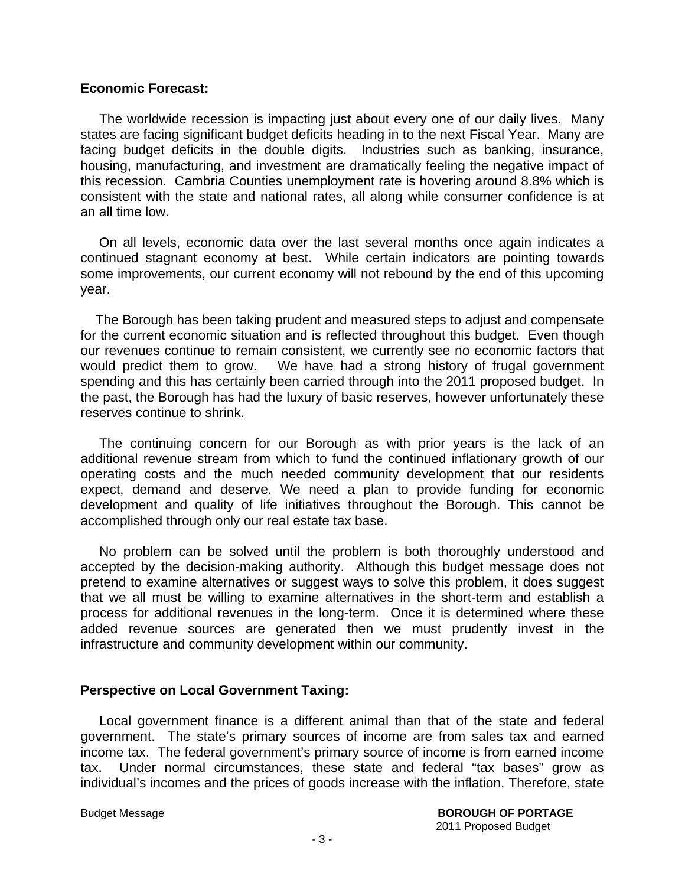#### **Economic Forecast:**

 The worldwide recession is impacting just about every one of our daily lives. Many states are facing significant budget deficits heading in to the next Fiscal Year. Many are facing budget deficits in the double digits. Industries such as banking, insurance, housing, manufacturing, and investment are dramatically feeling the negative impact of this recession. Cambria Counties unemployment rate is hovering around 8.8% which is consistent with the state and national rates, all along while consumer confidence is at an all time low.

 On all levels, economic data over the last several months once again indicates a continued stagnant economy at best. While certain indicators are pointing towards some improvements, our current economy will not rebound by the end of this upcoming year.

 The Borough has been taking prudent and measured steps to adjust and compensate for the current economic situation and is reflected throughout this budget. Even though our revenues continue to remain consistent, we currently see no economic factors that would predict them to grow. We have had a strong history of frugal government spending and this has certainly been carried through into the 2011 proposed budget. In the past, the Borough has had the luxury of basic reserves, however unfortunately these reserves continue to shrink.

 The continuing concern for our Borough as with prior years is the lack of an additional revenue stream from which to fund the continued inflationary growth of our operating costs and the much needed community development that our residents expect, demand and deserve. We need a plan to provide funding for economic development and quality of life initiatives throughout the Borough. This cannot be accomplished through only our real estate tax base.

 No problem can be solved until the problem is both thoroughly understood and accepted by the decision-making authority. Although this budget message does not pretend to examine alternatives or suggest ways to solve this problem, it does suggest that we all must be willing to examine alternatives in the short-term and establish a process for additional revenues in the long-term. Once it is determined where these added revenue sources are generated then we must prudently invest in the infrastructure and community development within our community.

#### **Perspective on Local Government Taxing:**

 Local government finance is a different animal than that of the state and federal government. The state's primary sources of income are from sales tax and earned income tax. The federal government's primary source of income is from earned income tax. Under normal circumstances, these state and federal "tax bases" grow as individual's incomes and the prices of goods increase with the inflation, Therefore, state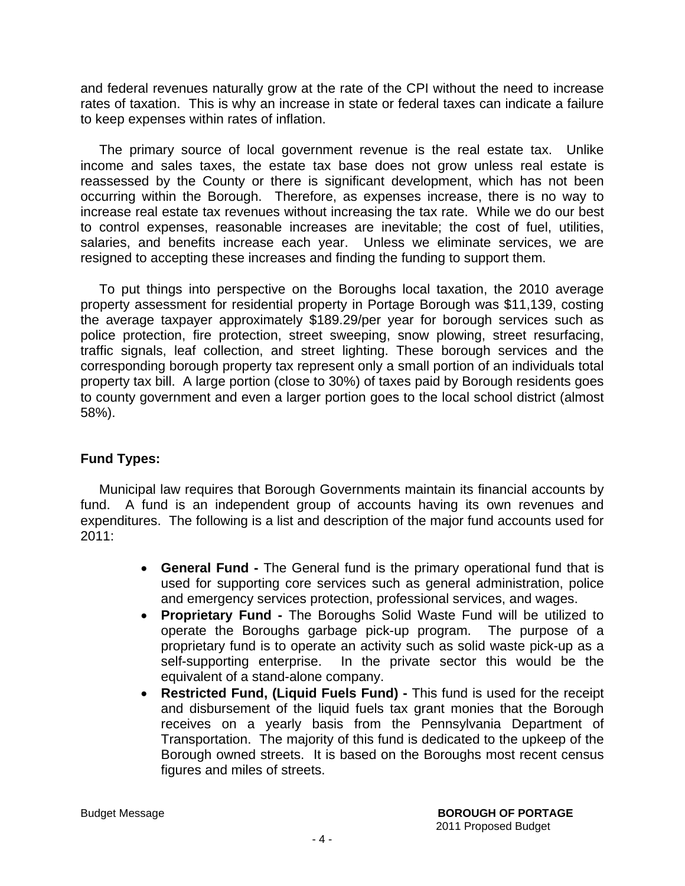and federal revenues naturally grow at the rate of the CPI without the need to increase rates of taxation. This is why an increase in state or federal taxes can indicate a failure to keep expenses within rates of inflation.

 The primary source of local government revenue is the real estate tax. Unlike income and sales taxes, the estate tax base does not grow unless real estate is reassessed by the County or there is significant development, which has not been occurring within the Borough. Therefore, as expenses increase, there is no way to increase real estate tax revenues without increasing the tax rate. While we do our best to control expenses, reasonable increases are inevitable; the cost of fuel, utilities, salaries, and benefits increase each year. Unless we eliminate services, we are resigned to accepting these increases and finding the funding to support them.

 To put things into perspective on the Boroughs local taxation, the 2010 average property assessment for residential property in Portage Borough was \$11,139, costing the average taxpayer approximately \$189.29/per year for borough services such as police protection, fire protection, street sweeping, snow plowing, street resurfacing, traffic signals, leaf collection, and street lighting. These borough services and the corresponding borough property tax represent only a small portion of an individuals total property tax bill. A large portion (close to 30%) of taxes paid by Borough residents goes to county government and even a larger portion goes to the local school district (almost 58%).

### **Fund Types:**

 Municipal law requires that Borough Governments maintain its financial accounts by fund. A fund is an independent group of accounts having its own revenues and expenditures. The following is a list and description of the major fund accounts used for 2011:

- **General Fund** The General fund is the primary operational fund that is used for supporting core services such as general administration, police and emergency services protection, professional services, and wages.
- **Proprietary Fund** The Boroughs Solid Waste Fund will be utilized to operate the Boroughs garbage pick-up program. The purpose of a proprietary fund is to operate an activity such as solid waste pick-up as a self-supporting enterprise. In the private sector this would be the equivalent of a stand-alone company.
- **Restricted Fund, (Liquid Fuels Fund)** This fund is used for the receipt and disbursement of the liquid fuels tax grant monies that the Borough receives on a yearly basis from the Pennsylvania Department of Transportation. The majority of this fund is dedicated to the upkeep of the Borough owned streets. It is based on the Boroughs most recent census figures and miles of streets.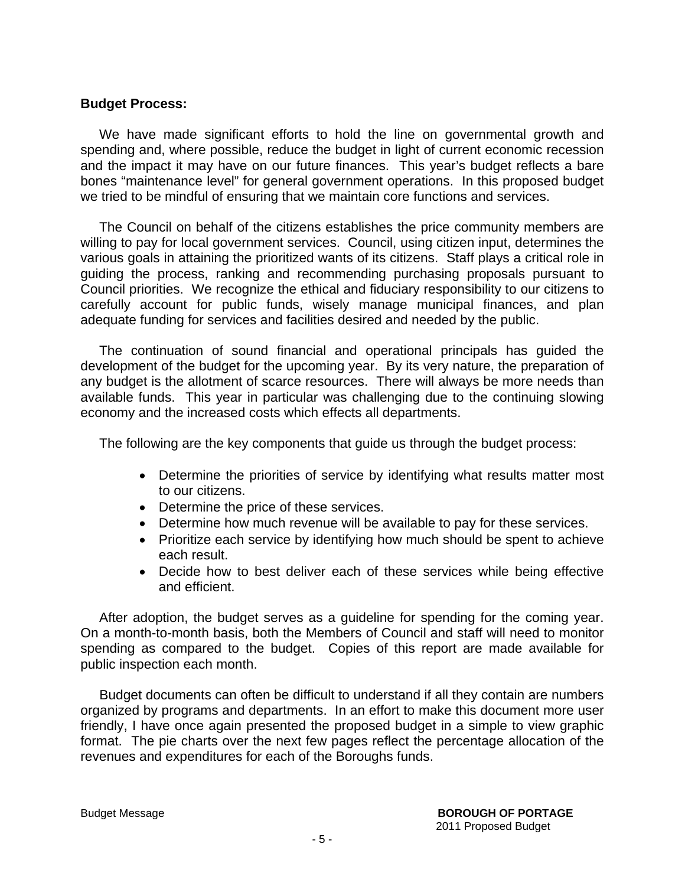#### **Budget Process:**

 We have made significant efforts to hold the line on governmental growth and spending and, where possible, reduce the budget in light of current economic recession and the impact it may have on our future finances. This year's budget reflects a bare bones "maintenance level" for general government operations. In this proposed budget we tried to be mindful of ensuring that we maintain core functions and services.

 The Council on behalf of the citizens establishes the price community members are willing to pay for local government services. Council, using citizen input, determines the various goals in attaining the prioritized wants of its citizens. Staff plays a critical role in guiding the process, ranking and recommending purchasing proposals pursuant to Council priorities. We recognize the ethical and fiduciary responsibility to our citizens to carefully account for public funds, wisely manage municipal finances, and plan adequate funding for services and facilities desired and needed by the public.

 The continuation of sound financial and operational principals has guided the development of the budget for the upcoming year. By its very nature, the preparation of any budget is the allotment of scarce resources. There will always be more needs than available funds. This year in particular was challenging due to the continuing slowing economy and the increased costs which effects all departments.

The following are the key components that guide us through the budget process:

- Determine the priorities of service by identifying what results matter most to our citizens.
- Determine the price of these services.
- Determine how much revenue will be available to pay for these services.
- Prioritize each service by identifying how much should be spent to achieve each result.
- Decide how to best deliver each of these services while being effective and efficient.

 After adoption, the budget serves as a guideline for spending for the coming year. On a month-to-month basis, both the Members of Council and staff will need to monitor spending as compared to the budget. Copies of this report are made available for public inspection each month.

 Budget documents can often be difficult to understand if all they contain are numbers organized by programs and departments. In an effort to make this document more user friendly, I have once again presented the proposed budget in a simple to view graphic format. The pie charts over the next few pages reflect the percentage allocation of the revenues and expenditures for each of the Boroughs funds.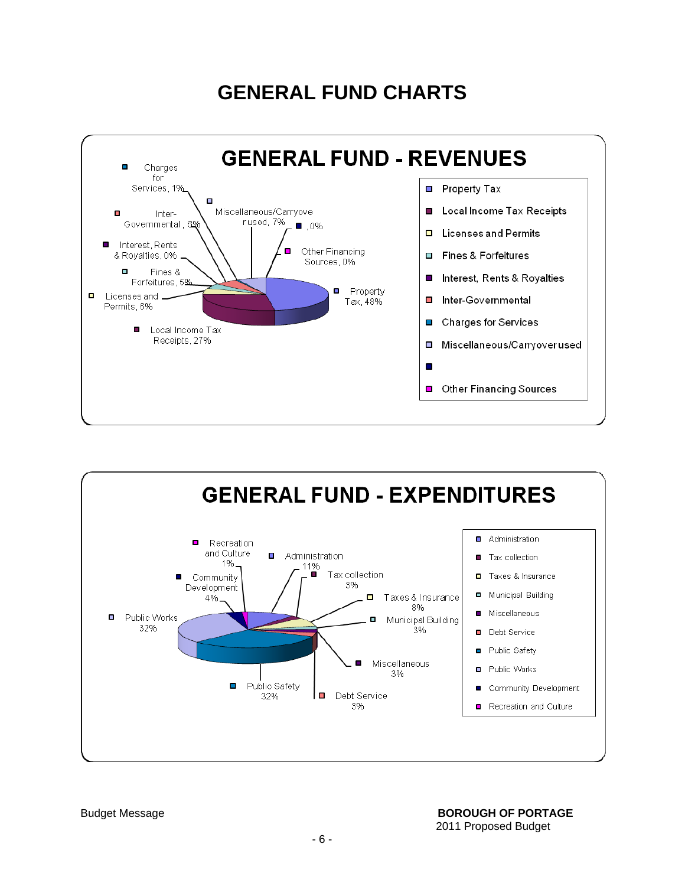## **GENERAL FUND CHARTS**



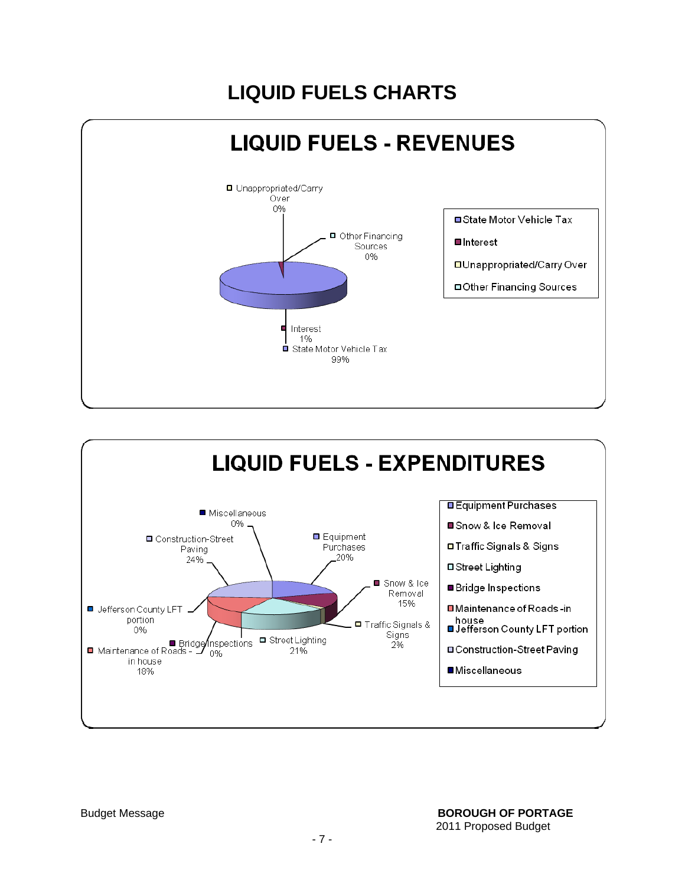# **LIQUID FUELS CHARTS**



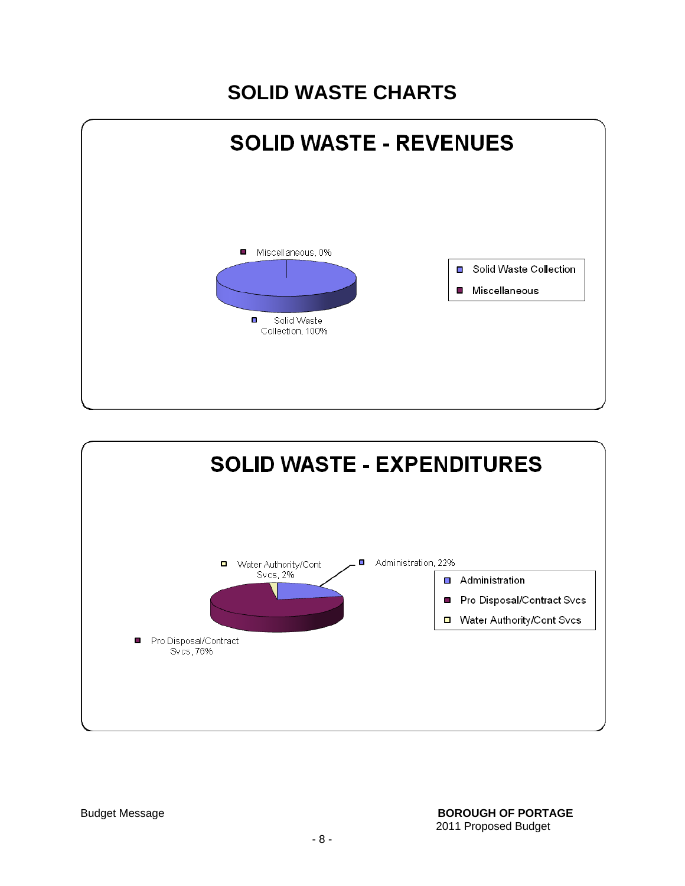## **SOLID WASTE CHARTS**



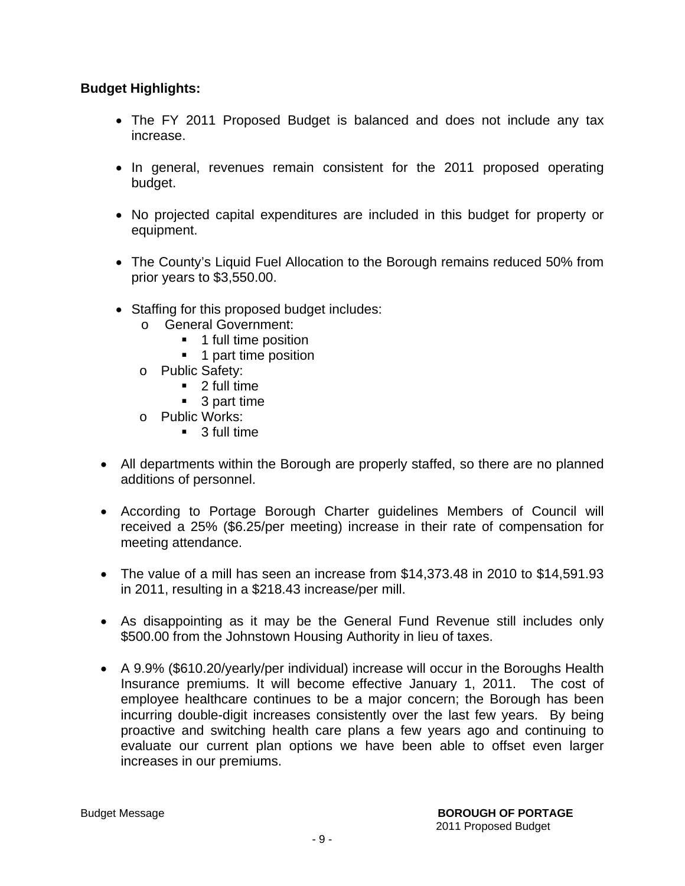### **Budget Highlights:**

- The FY 2011 Proposed Budget is balanced and does not include any tax increase.
- In general, revenues remain consistent for the 2011 proposed operating budget.
- No projected capital expenditures are included in this budget for property or equipment.
- The County's Liquid Fuel Allocation to the Borough remains reduced 50% from prior years to \$3,550.00.
- Staffing for this proposed budget includes:
	- o General Government:
		- **1** full time position
		- **1** part time position
	- o Public Safety:
		- 2 full time
		- 3 part time
	- o Public Works:
		- 3 full time
- All departments within the Borough are properly staffed, so there are no planned additions of personnel.
- According to Portage Borough Charter guidelines Members of Council will received a 25% (\$6.25/per meeting) increase in their rate of compensation for meeting attendance.
- The value of a mill has seen an increase from \$14,373.48 in 2010 to \$14,591.93 in 2011, resulting in a \$218.43 increase/per mill.
- As disappointing as it may be the General Fund Revenue still includes only \$500.00 from the Johnstown Housing Authority in lieu of taxes.
- A 9.9% (\$610.20/yearly/per individual) increase will occur in the Boroughs Health Insurance premiums. It will become effective January 1, 2011. The cost of employee healthcare continues to be a major concern; the Borough has been incurring double-digit increases consistently over the last few years. By being proactive and switching health care plans a few years ago and continuing to evaluate our current plan options we have been able to offset even larger increases in our premiums.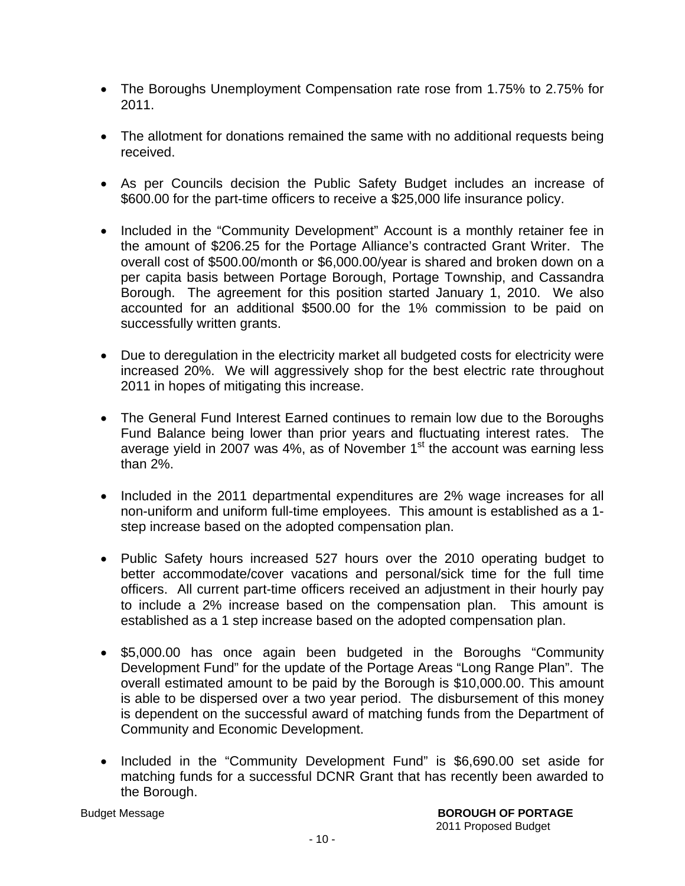- The Boroughs Unemployment Compensation rate rose from 1.75% to 2.75% for 2011.
- The allotment for donations remained the same with no additional requests being received.
- As per Councils decision the Public Safety Budget includes an increase of \$600.00 for the part-time officers to receive a \$25,000 life insurance policy.
- Included in the "Community Development" Account is a monthly retainer fee in the amount of \$206.25 for the Portage Alliance's contracted Grant Writer. The overall cost of \$500.00/month or \$6,000.00/year is shared and broken down on a per capita basis between Portage Borough, Portage Township, and Cassandra Borough. The agreement for this position started January 1, 2010. We also accounted for an additional \$500.00 for the 1% commission to be paid on successfully written grants.
- Due to deregulation in the electricity market all budgeted costs for electricity were increased 20%. We will aggressively shop for the best electric rate throughout 2011 in hopes of mitigating this increase.
- The General Fund Interest Earned continues to remain low due to the Boroughs Fund Balance being lower than prior years and fluctuating interest rates. The average yield in 2007 was 4%, as of November  $1<sup>st</sup>$  the account was earning less than 2%.
- Included in the 2011 departmental expenditures are 2% wage increases for all non-uniform and uniform full-time employees. This amount is established as a 1 step increase based on the adopted compensation plan.
- Public Safety hours increased 527 hours over the 2010 operating budget to better accommodate/cover vacations and personal/sick time for the full time officers. All current part-time officers received an adjustment in their hourly pay to include a 2% increase based on the compensation plan. This amount is established as a 1 step increase based on the adopted compensation plan.
- \$5,000.00 has once again been budgeted in the Boroughs "Community Development Fund" for the update of the Portage Areas "Long Range Plan". The overall estimated amount to be paid by the Borough is \$10,000.00. This amount is able to be dispersed over a two year period. The disbursement of this money is dependent on the successful award of matching funds from the Department of Community and Economic Development.
- Included in the "Community Development Fund" is \$6,690.00 set aside for matching funds for a successful DCNR Grant that has recently been awarded to the Borough.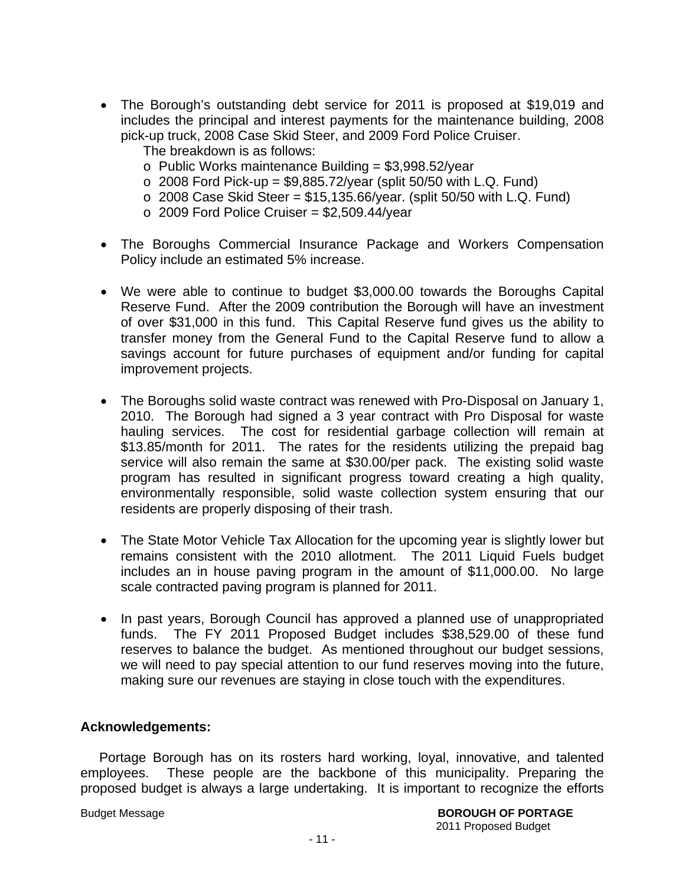- The Borough's outstanding debt service for 2011 is proposed at \$19,019 and includes the principal and interest payments for the maintenance building, 2008 pick-up truck, 2008 Case Skid Steer, and 2009 Ford Police Cruiser.
	- The breakdown is as follows:
	- $\circ$  Public Works maintenance Building = \$3,998.52/year
	- $\circ$  2008 Ford Pick-up = \$9,885.72/year (split 50/50 with L.Q. Fund)
	- $\circ$  2008 Case Skid Steer = \$15,135.66/year. (split 50/50 with L.Q. Fund)
	- $\circ$  2009 Ford Police Cruiser = \$2,509.44/year
- The Boroughs Commercial Insurance Package and Workers Compensation Policy include an estimated 5% increase.
- We were able to continue to budget \$3,000.00 towards the Boroughs Capital Reserve Fund. After the 2009 contribution the Borough will have an investment of over \$31,000 in this fund. This Capital Reserve fund gives us the ability to transfer money from the General Fund to the Capital Reserve fund to allow a savings account for future purchases of equipment and/or funding for capital improvement projects.
- The Boroughs solid waste contract was renewed with Pro-Disposal on January 1, 2010. The Borough had signed a 3 year contract with Pro Disposal for waste hauling services. The cost for residential garbage collection will remain at \$13.85/month for 2011. The rates for the residents utilizing the prepaid bag service will also remain the same at \$30.00/per pack. The existing solid waste program has resulted in significant progress toward creating a high quality, environmentally responsible, solid waste collection system ensuring that our residents are properly disposing of their trash.
- The State Motor Vehicle Tax Allocation for the upcoming year is slightly lower but remains consistent with the 2010 allotment. The 2011 Liquid Fuels budget includes an in house paving program in the amount of \$11,000.00. No large scale contracted paving program is planned for 2011.
- In past years, Borough Council has approved a planned use of unappropriated funds. The FY 2011 Proposed Budget includes \$38,529.00 of these fund reserves to balance the budget. As mentioned throughout our budget sessions, we will need to pay special attention to our fund reserves moving into the future, making sure our revenues are staying in close touch with the expenditures.

#### **Acknowledgements:**

 Portage Borough has on its rosters hard working, loyal, innovative, and talented employees. These people are the backbone of this municipality. Preparing the proposed budget is always a large undertaking. It is important to recognize the efforts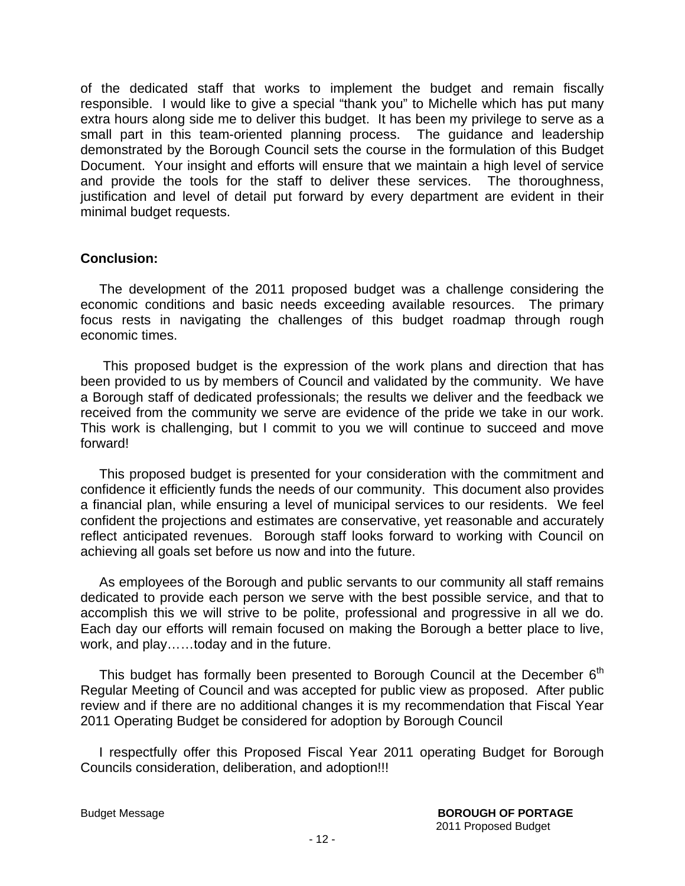of the dedicated staff that works to implement the budget and remain fiscally responsible. I would like to give a special "thank you" to Michelle which has put many extra hours along side me to deliver this budget. It has been my privilege to serve as a small part in this team-oriented planning process. The guidance and leadership demonstrated by the Borough Council sets the course in the formulation of this Budget Document. Your insight and efforts will ensure that we maintain a high level of service and provide the tools for the staff to deliver these services. The thoroughness, justification and level of detail put forward by every department are evident in their minimal budget requests.

#### **Conclusion:**

The development of the 2011 proposed budget was a challenge considering the economic conditions and basic needs exceeding available resources. The primary focus rests in navigating the challenges of this budget roadmap through rough economic times.

 This proposed budget is the expression of the work plans and direction that has been provided to us by members of Council and validated by the community. We have a Borough staff of dedicated professionals; the results we deliver and the feedback we received from the community we serve are evidence of the pride we take in our work. This work is challenging, but I commit to you we will continue to succeed and move forward!

 This proposed budget is presented for your consideration with the commitment and confidence it efficiently funds the needs of our community. This document also provides a financial plan, while ensuring a level of municipal services to our residents. We feel confident the projections and estimates are conservative, yet reasonable and accurately reflect anticipated revenues. Borough staff looks forward to working with Council on achieving all goals set before us now and into the future.

 As employees of the Borough and public servants to our community all staff remains dedicated to provide each person we serve with the best possible service, and that to accomplish this we will strive to be polite, professional and progressive in all we do. Each day our efforts will remain focused on making the Borough a better place to live, work, and play……today and in the future.

This budget has formally been presented to Borough Council at the December  $6<sup>th</sup>$ Regular Meeting of Council and was accepted for public view as proposed. After public review and if there are no additional changes it is my recommendation that Fiscal Year 2011 Operating Budget be considered for adoption by Borough Council

 I respectfully offer this Proposed Fiscal Year 2011 operating Budget for Borough Councils consideration, deliberation, and adoption!!!